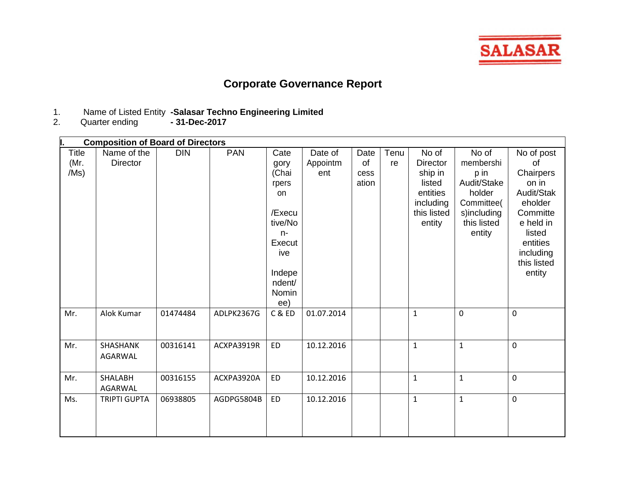

## **Corporate Governance Report**

- 1. Name of Listed Entity **-Salasar Techno Engineering Limited**
- 2. Quarter ending **- 31-Dec-2017**

|                              | <b>Composition of Board of Directors</b> |            |            |                                                                                                                        |                            |                             |            |                                                                                                 |                                                                                                           |                                                                                                                                                      |
|------------------------------|------------------------------------------|------------|------------|------------------------------------------------------------------------------------------------------------------------|----------------------------|-----------------------------|------------|-------------------------------------------------------------------------------------------------|-----------------------------------------------------------------------------------------------------------|------------------------------------------------------------------------------------------------------------------------------------------------------|
| <b>Title</b><br>(Mr.<br>/Ms) | Name of the<br><b>Director</b>           | <b>DIN</b> | <b>PAN</b> | Cate<br>gory<br>(Chai<br>rpers<br>on<br>/Execu<br>tive/No<br>$n-$<br>Execut<br>ive<br>Indepe<br>ndent/<br>Nomin<br>ee) | Date of<br>Appointm<br>ent | Date<br>of<br>cess<br>ation | Tenu<br>re | No of<br><b>Director</b><br>ship in<br>listed<br>entities<br>including<br>this listed<br>entity | No of<br>membershi<br>p in<br>Audit/Stake<br>holder<br>Committee(<br>s)including<br>this listed<br>entity | No of post<br>of<br>Chairpers<br>on in<br>Audit/Stak<br>eholder<br>Committe<br>e held in<br>listed<br>entities<br>including<br>this listed<br>entity |
| Mr.                          | Alok Kumar                               | 01474484   | ADLPK2367G | C & ED                                                                                                                 | 01.07.2014                 |                             |            | $\mathbf{1}$                                                                                    | $\mathbf 0$                                                                                               | $\mathbf 0$                                                                                                                                          |
| Mr.                          | SHASHANK<br>AGARWAL                      | 00316141   | ACXPA3919R | <b>ED</b>                                                                                                              | 10.12.2016                 |                             |            | $\mathbf{1}$                                                                                    | $\mathbf{1}$                                                                                              | $\mathbf 0$                                                                                                                                          |
| Mr.                          | <b>SHALABH</b><br>AGARWAL                | 00316155   | ACXPA3920A | <b>ED</b>                                                                                                              | 10.12.2016                 |                             |            | $\mathbf{1}$                                                                                    | $\mathbf{1}$                                                                                              | $\mathbf 0$                                                                                                                                          |
| Ms.                          | <b>TRIPTI GUPTA</b>                      | 06938805   | AGDPG5804B | <b>ED</b>                                                                                                              | 10.12.2016                 |                             |            | $\mathbf{1}$                                                                                    | $\mathbf{1}$                                                                                              | $\mathbf 0$                                                                                                                                          |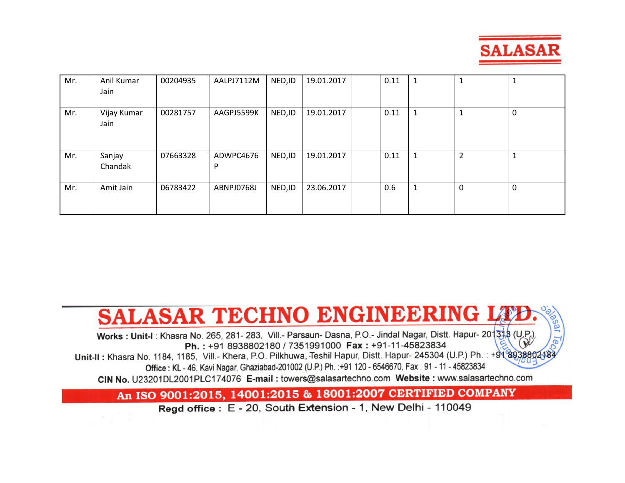

| Mr. | Anil Kumar<br>Jain  | 00204935 | AALPJ7112M     | NED, ID | 19.01.2017 | 0.11 |   | 1              | <b>T</b> |
|-----|---------------------|----------|----------------|---------|------------|------|---|----------------|----------|
| Mr. | Vijay Kumar<br>Jain | 00281757 | AAGPJ5599K     | NED, ID | 19.01.2017 | 0.11 |   |                | 0        |
| Mr. | Sanjay<br>Chandak   | 07663328 | ADWPC4676<br>D | NED, ID | 19.01.2017 | 0.11 |   | $\overline{2}$ | 1        |
| Mr. | Amit Jain           | 06783422 | ABNPJ0768J     | NED, ID | 23.06.2017 | 0.6  | 1 | $\mathbf{0}$   | 0        |

# SALASAR TECHNO ENGINEERING LE

cal Works: Unit-I: Khasra No. 265, 281- 283, Vill.- Parsaun- Dasna, P.O.- Jindal Nagar, Distt. Hapur- 201318 (U.P.) Ph.: +91 8938802180 / 7351991000 Fax: +91-11-45823834 Unit-II: Khasra No. 1184, 1185, Vill.- Khera, P.O. Pilkhuwa, Teshil Hapur, Distt. Hapur- 245304 (U.P.) Ph.: +9189388 Office: KL - 46, Kavi Nagar, Ghaziabad-201002 (U.P.) Ph. : +91 120 - 6546670, Fax: 91 - 11 - 45823834 CIN No. U23201DL2001PLC174076 E-mail: towers@salasartechno.com Website: www.salasartechno.com

### An ISO 9001:2015, 14001:2015 & 18001:2007 CERTIFIED COMPANY

Regd office: E - 20, South Extension - 1, New Delhi - 110049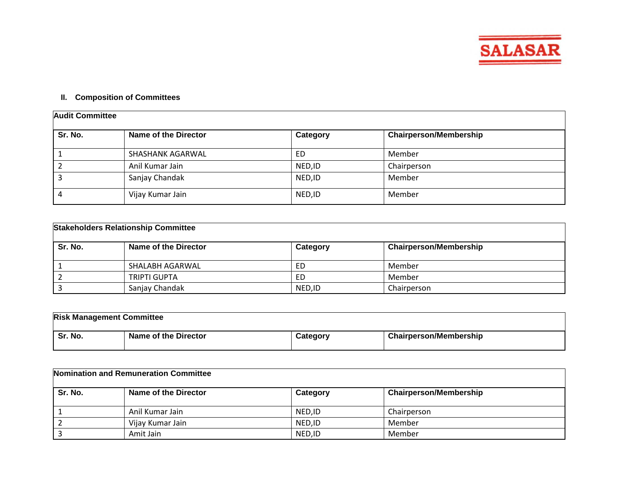

#### **II. Composition of Committees**

| <b>Audit Committee</b> |                      |          |                               |  |  |
|------------------------|----------------------|----------|-------------------------------|--|--|
| Sr. No.                | Name of the Director | Category | <b>Chairperson/Membership</b> |  |  |
|                        | SHASHANK AGARWAL     | ED       | Member                        |  |  |
|                        | Anil Kumar Jain      | NED, ID  | Chairperson                   |  |  |
|                        | Sanjay Chandak       | NED, ID  | Member                        |  |  |
|                        | Vijay Kumar Jain     | NED, ID  | Member                        |  |  |

| <b>Stakeholders Relationship Committee</b> |                             |          |                               |  |  |
|--------------------------------------------|-----------------------------|----------|-------------------------------|--|--|
| Sr. No.                                    | <b>Name of the Director</b> | Category | <b>Chairperson/Membership</b> |  |  |
|                                            | SHALABH AGARWAL             | ED       | Member                        |  |  |
|                                            | <b>TRIPTI GUPTA</b>         | ED       | Member                        |  |  |
|                                            | Sanjay Chandak              | NED.ID   | Chairperson                   |  |  |

| <b>Risk Management Committee</b> |                      |          |                               |  |  |
|----------------------------------|----------------------|----------|-------------------------------|--|--|
| Sr. No.                          | Name of the Director | Category | <b>Chairperson/Membership</b> |  |  |

| Nomination and Remuneration Committee |                      |          |                               |  |  |
|---------------------------------------|----------------------|----------|-------------------------------|--|--|
| Sr. No.                               | Name of the Director | Category | <b>Chairperson/Membership</b> |  |  |
|                                       | Anil Kumar Jain      | NED.ID   | Chairperson                   |  |  |
|                                       | Vijay Kumar Jain     | NED, ID  | Member                        |  |  |
|                                       | Amit Jain            | NED.ID   | Member                        |  |  |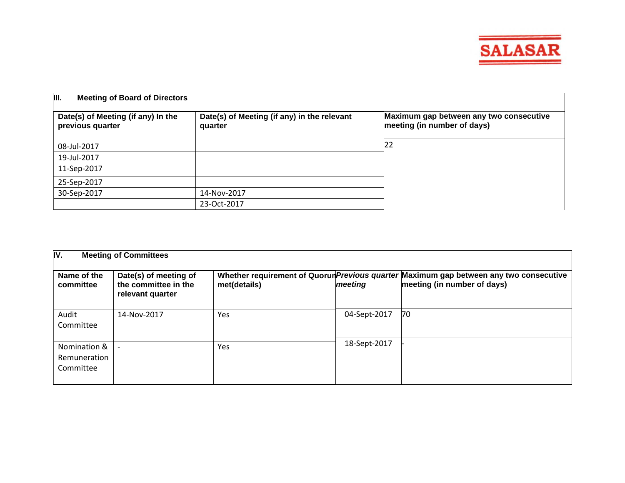

| III.<br><b>Meeting of Board of Directors</b>           |                                                        |                                                                        |  |  |  |
|--------------------------------------------------------|--------------------------------------------------------|------------------------------------------------------------------------|--|--|--|
| Date(s) of Meeting (if any) In the<br>previous quarter | Date(s) of Meeting (if any) in the relevant<br>quarter | Maximum gap between any two consecutive<br>meeting (in number of days) |  |  |  |
| 08-Jul-2017                                            |                                                        | 122                                                                    |  |  |  |
| 19-Jul-2017                                            |                                                        |                                                                        |  |  |  |
| 11-Sep-2017                                            |                                                        |                                                                        |  |  |  |
| 25-Sep-2017                                            |                                                        |                                                                        |  |  |  |
| 30-Sep-2017                                            | 14-Nov-2017                                            |                                                                        |  |  |  |
|                                                        | 23-Oct-2017                                            |                                                                        |  |  |  |

| IV.<br><b>Meeting of Committees</b>       |                                                                   |              |              |                                                                                                                       |  |  |
|-------------------------------------------|-------------------------------------------------------------------|--------------|--------------|-----------------------------------------------------------------------------------------------------------------------|--|--|
| Name of the<br>committee                  | Date(s) of meeting of<br>the committee in the<br>relevant quarter | met(details) | meeting      | Whether requirement of Quorun Previous quarter Maximum gap between any two consecutive<br>meeting (in number of days) |  |  |
| Audit<br>Committee                        | 14-Nov-2017                                                       | Yes          | 04-Sept-2017 | 70                                                                                                                    |  |  |
| Nomination &<br>Remuneration<br>Committee |                                                                   | Yes          | 18-Sept-2017 |                                                                                                                       |  |  |